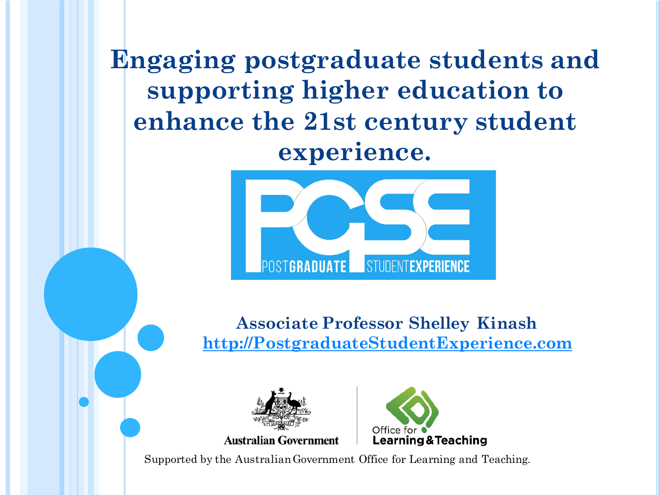**Engaging postgraduate students and supporting higher education to enhance the 21st century student experience.**



**Associate Professor Shelley Kinash http://PostgraduateStudentExperience.com**





Supported by the Australian Government Office for Learning and Teaching.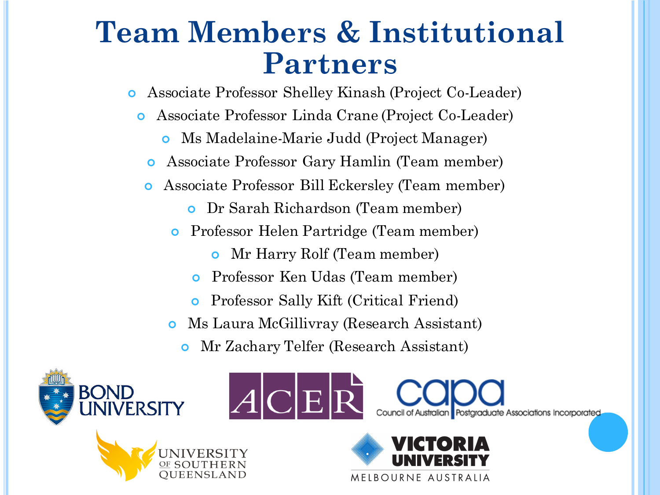#### **Team Members & Institutional Partners**

¢ Associate Professor Shelley Kinash (Project Co-Leader)

- ¢ Associate Professor Linda Crane (Project Co-Leader)
	- ¢ Ms Madelaine-Marie Judd (Project Manager)
	- ¢ Associate Professor Gary Hamlin (Team member)
	- ¢ Associate Professor Bill Eckersley (Team member)
		- ¢ Dr Sarah Richardson (Team member)
		- ¢ Professor Helen Partridge (Team member)
			- ¢ Mr Harry Rolf (Team member)
			- ¢ Professor Ken Udas (Team member)
			- ¢ Professor Sally Kift (Critical Friend)
		- ¢ Ms Laura McGillivray (Research Assistant)
			- ¢ Mr Zachary Telfer (Research Assistant)

ACE







Postgraduate Associations Incorporated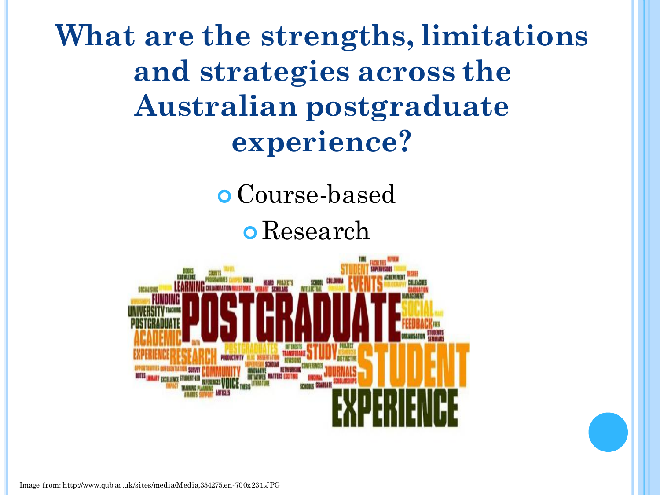**What are the strengths, limitations and strategies across the Australian postgraduate experience?** 

¢ Course-based

¢ Research



Image from: http://www.qub.ac.uk/sites/media/Media,354275,en-700x231.JPG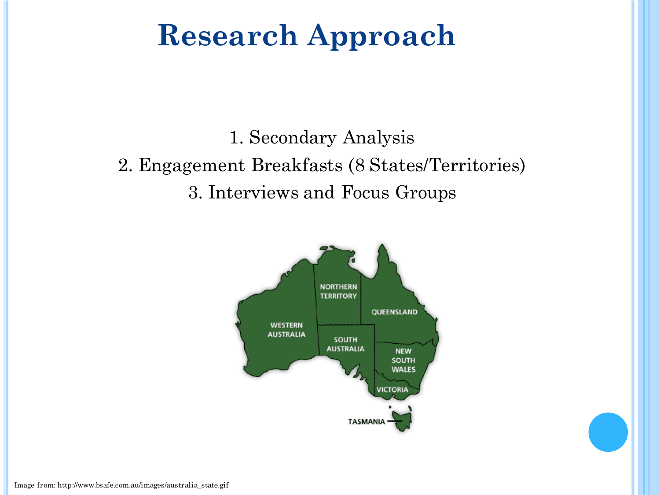## **Research Approach**

1. Secondary Analysis 2. Engagement Breakfasts (8 States/Territories) 3. Interviews and Focus Groups

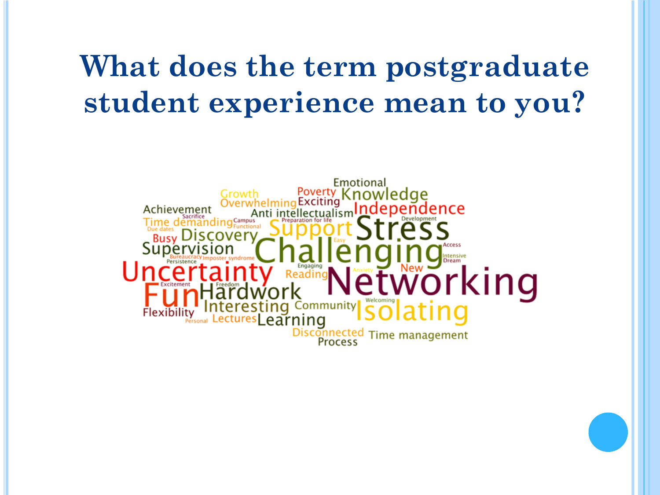### **What does the term postgraduate student experience mean to you?**

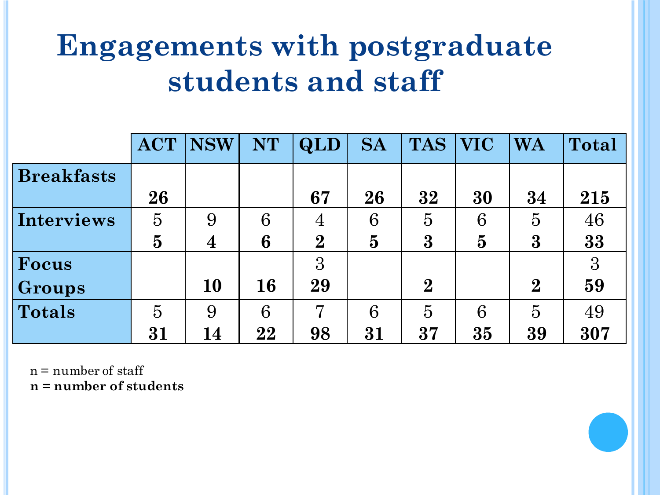## **Engagements with postgraduate students and staff**

|                   | <b>ACT</b>     | <b>NSW</b>       | <b>NT</b> | <b>QLD</b>     | <b>SA</b>      | <b>TAS</b>     | <b>VIC</b>     | <b>WA</b>      | <b>Total</b>    |
|-------------------|----------------|------------------|-----------|----------------|----------------|----------------|----------------|----------------|-----------------|
| <b>Breakfasts</b> |                |                  |           |                |                |                |                |                |                 |
|                   | 26             |                  |           | 67             | 26             | 32             | 30             | 34             | 215             |
| Interviews        | $\overline{5}$ | 9                | 6         | $\overline{4}$ | 6              | $\overline{5}$ | 6              | $\overline{5}$ | 46              |
|                   | $\overline{5}$ | $\boldsymbol{4}$ | 6         | $\overline{2}$ | $\overline{5}$ | $\bf{3}$       | $\overline{5}$ | $\bf{3}$       | 33              |
| Focus             |                |                  |           | 3              |                |                |                |                | $3\overline{3}$ |
| Groups            |                | <b>10</b>        | 16        | 29             |                | $\overline{2}$ |                | $\overline{2}$ | 59              |
| <b>Totals</b>     | $\overline{5}$ | 9                | 6         | 7              | 6              | $\overline{5}$ | 6              | $\overline{5}$ | 49              |
|                   | 31             | 14               | 22        | 98             | 31             | 37             | 35             | 39             | 307             |

 $n =$  number of staff

**n = number of students**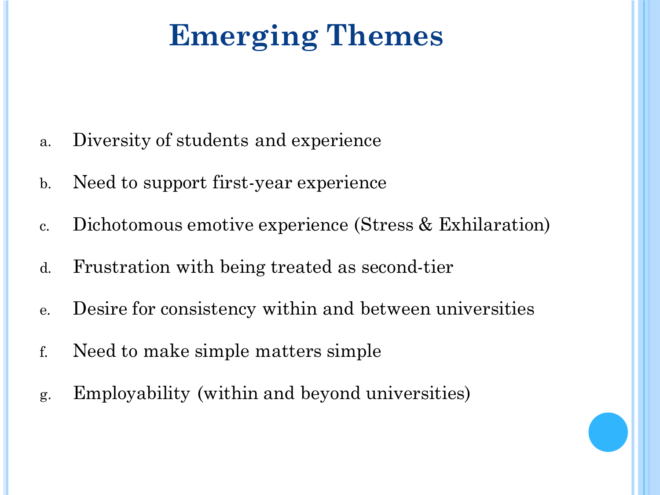# **Emerging Themes**

- a. Diversity of students and experience
- b. Need to support first-year experience
- c. Dichotomous emotive experience (Stress & Exhilaration)
- d. Frustration with being treated as second-tier
- e. Desire for consistency within and between universities
- f. Need to make simple matters simple
- g. Employability (within and beyond universities)